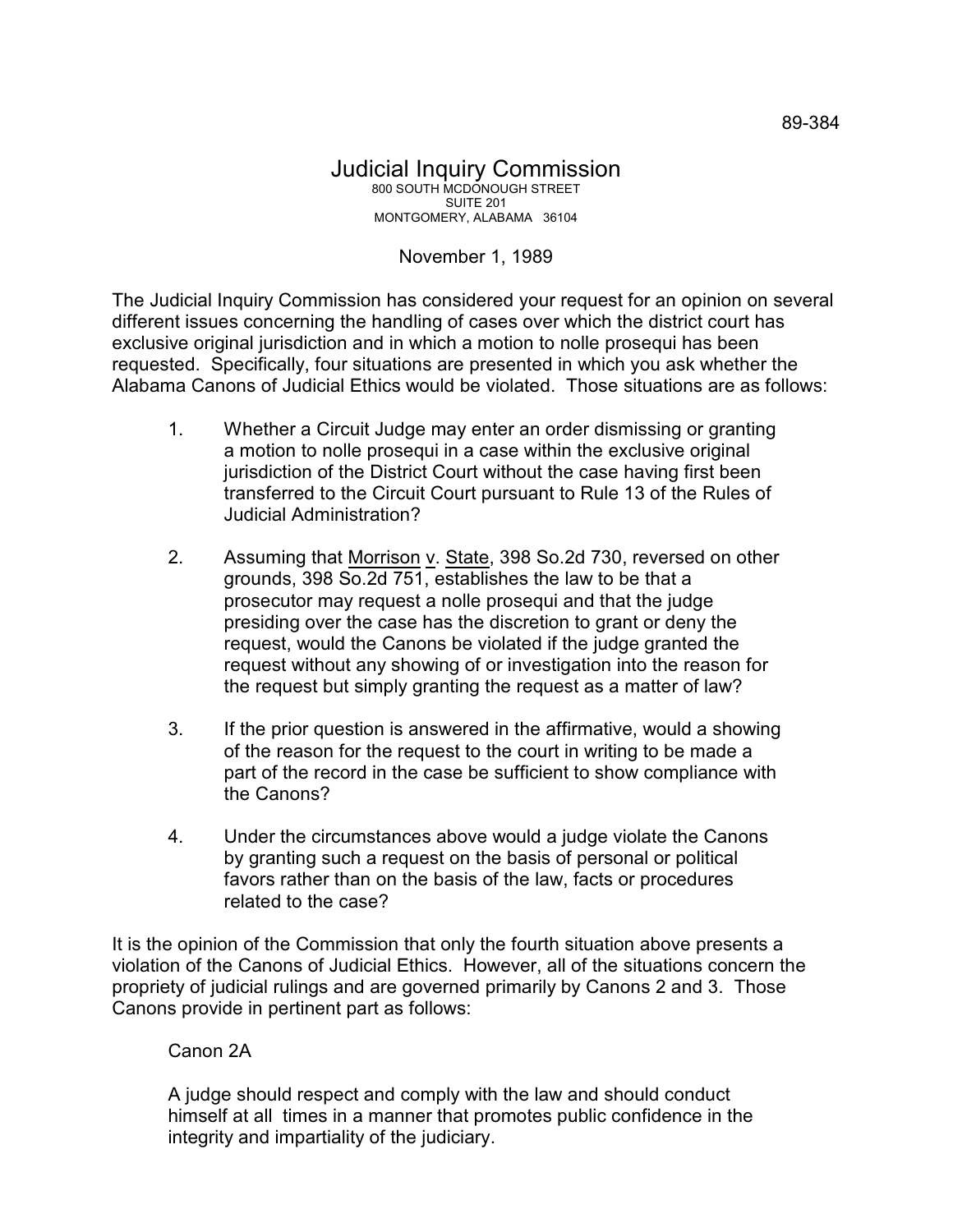## November 1, 1989

The Judicial Inquiry Commission has considered your request for an opinion on several different issues concerning the handling of cases over which the district court has exclusive original jurisdiction and in which a motion to nolle prosequi has been requested. Specifically, four situations are presented in which you ask whether the Alabama Canons of Judicial Ethics would be violated. Those situations are as follows:

- 1. Whether a Circuit Judge may enter an order dismissing or granting a motion to nolle prosequi in a case within the exclusive original jurisdiction of the District Court without the case having first been transferred to the Circuit Court pursuant to Rule 13 of the Rules of Judicial Administration?
- 2. Assuming that Morrison v. State, 398 So.2d 730, reversed on other grounds, 398 So.2d 751, establishes the law to be that a prosecutor may request a nolle prosequi and that the judge presiding over the case has the discretion to grant or deny the request, would the Canons be violated if the judge granted the request without any showing of or investigation into the reason for the request but simply granting the request as a matter of law?
- 3. If the prior question is answered in the affirmative, would a showing of the reason for the request to the court in writing to be made a part of the record in the case be sufficient to show compliance with the Canons?
- 4. Under the circumstances above would a judge violate the Canons by granting such a request on the basis of personal or political favors rather than on the basis of the law, facts or procedures related to the case?

It is the opinion of the Commission that only the fourth situation above presents a violation of the Canons of Judicial Ethics. However, all of the situations concern the propriety of judicial rulings and are governed primarily by Canons 2 and 3. Those Canons provide in pertinent part as follows:

## Canon 2A

A judge should respect and comply with the law and should conduct himself at all times in a manner that promotes public confidence in the integrity and impartiality of the judiciary.